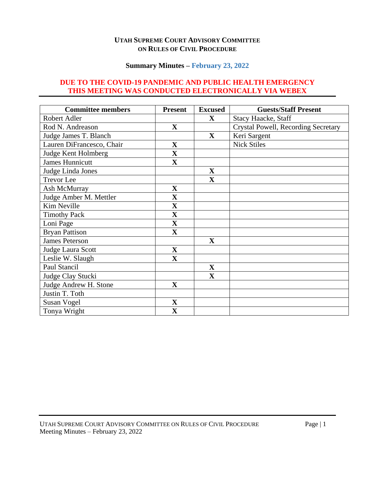#### **UTAH SUPREME COURT ADVISORY COMMITTEE ON RULES OF CIVIL PROCEDURE**

#### **Summary Minutes – February 23, 2022**

# **DUE TO THE COVID-19 PANDEMIC AND PUBLIC HEALTH EMERGENCY THIS MEETING WAS CONDUCTED ELECTRONICALLY VIA WEBEX**

| <b>Committee members</b>  | <b>Present</b>          | <b>Excused</b>          | <b>Guests/Staff Present</b>         |
|---------------------------|-------------------------|-------------------------|-------------------------------------|
| Robert Adler              |                         | X                       | <b>Stacy Haacke, Staff</b>          |
| Rod N. Andreason          | $\mathbf X$             |                         | Crystal Powell, Recording Secretary |
| Judge James T. Blanch     |                         | $\mathbf{X}$            | Keri Sargent                        |
| Lauren DiFrancesco, Chair | $\mathbf X$             |                         | <b>Nick Stiles</b>                  |
| Judge Kent Holmberg       | $\mathbf X$             |                         |                                     |
| <b>James Hunnicutt</b>    | $\overline{\mathbf{X}}$ |                         |                                     |
| Judge Linda Jones         |                         | $\mathbf X$             |                                     |
| <b>Trevor</b> Lee         |                         | $\overline{\mathbf{X}}$ |                                     |
| Ash McMurray              | $\mathbf X$             |                         |                                     |
| Judge Amber M. Mettler    | $\overline{\mathbf{X}}$ |                         |                                     |
| Kim Neville               | $\mathbf X$             |                         |                                     |
| <b>Timothy Pack</b>       | $\mathbf X$             |                         |                                     |
| Loni Page                 | $\mathbf X$             |                         |                                     |
| <b>Bryan Pattison</b>     | $\mathbf X$             |                         |                                     |
| <b>James Peterson</b>     |                         | $\mathbf{X}$            |                                     |
| Judge Laura Scott         | $\mathbf X$             |                         |                                     |
| Leslie W. Slaugh          | $\mathbf{X}$            |                         |                                     |
| Paul Stancil              |                         | $\mathbf X$             |                                     |
| Judge Clay Stucki         |                         | $\mathbf X$             |                                     |
| Judge Andrew H. Stone     | $\mathbf{X}$            |                         |                                     |
| Justin T. Toth            |                         |                         |                                     |
| <b>Susan Vogel</b>        | $\mathbf X$             |                         |                                     |
| Tonya Wright              | $\mathbf X$             |                         |                                     |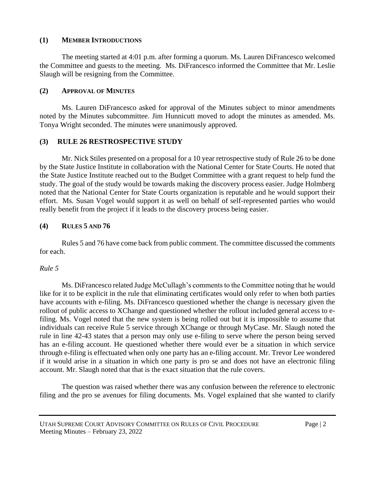# **(1) MEMBER INTRODUCTIONS**

The meeting started at 4:01 p.m. after forming a quorum. Ms. Lauren DiFrancesco welcomed the Committee and guests to the meeting. Ms. DiFrancesco informed the Committee that Mr. Leslie Slaugh will be resigning from the Committee.

### **(2) APPROVAL OF MINUTES**

Ms. Lauren DiFrancesco asked for approval of the Minutes subject to minor amendments noted by the Minutes subcommittee. Jim Hunnicutt moved to adopt the minutes as amended. Ms. Tonya Wright seconded. The minutes were unanimously approved.

# **(3) RULE 26 RESTROSPECTIVE STUDY**

Mr. Nick Stiles presented on a proposal for a 10 year retrospective study of Rule 26 to be done by the State Justice Institute in collaboration with the National Center for State Courts. He noted that the State Justice Institute reached out to the Budget Committee with a grant request to help fund the study. The goal of the study would be towards making the discovery process easier. Judge Holmberg noted that the National Center for State Courts organization is reputable and he would support their effort. Ms. Susan Vogel would support it as well on behalf of self-represented parties who would really benefit from the project if it leads to the discovery process being easier.

# **(4) RULES 5 AND 76**

Rules 5 and 76 have come back from public comment. The committee discussed the comments for each.

# *Rule 5*

Ms. DiFrancesco related Judge McCullagh's comments to the Committee noting that he would like for it to be explicit in the rule that eliminating certificates would only refer to when both parties have accounts with e-filing. Ms. DiFrancesco questioned whether the change is necessary given the rollout of public access to XChange and questioned whether the rollout included general access to efiling. Ms. Vogel noted that the new system is being rolled out but it is impossible to assume that individuals can receive Rule 5 service through XChange or through MyCase. Mr. Slaugh noted the rule in line 42-43 states that a person may only use e-filing to serve where the person being served has an e-filing account. He questioned whether there would ever be a situation in which service through e-filing is effectuated when only one party has an e-filing account. Mr. Trevor Lee wondered if it would arise in a situation in which one party is pro se and does not have an electronic filing account. Mr. Slaugh noted that that is the exact situation that the rule covers.

The question was raised whether there was any confusion between the reference to electronic filing and the pro se avenues for filing documents. Ms. Vogel explained that she wanted to clarify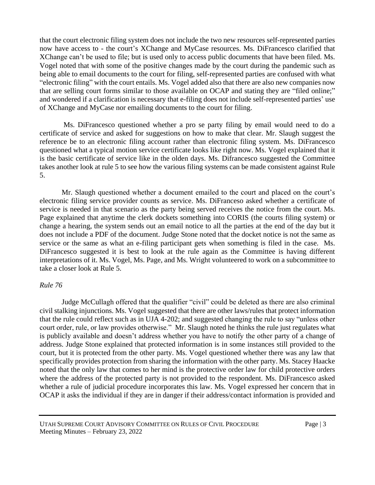that the court electronic filing system does not include the two new resources self-represented parties now have access to - the court's XChange and MyCase resources. Ms. DiFrancesco clarified that XChange can't be used to file; but is used only to access public documents that have been filed. Ms. Vogel noted that with some of the positive changes made by the court during the pandemic such as being able to email documents to the court for filing, self-represented parties are confused with what "electronic filing" with the court entails. Ms. Vogel added also that there are also new companies now that are selling court forms similar to those available on OCAP and stating they are "filed online;" and wondered if a clarification is necessary that e-filing does not include self-represented parties' use of XChange and MyCase nor emailing documents to the court for filing.

Ms. DiFrancesco questioned whether a pro se party filing by email would need to do a certificate of service and asked for suggestions on how to make that clear. Mr. Slaugh suggest the reference be to an electronic filing account rather than electronic filing system. Ms. DiFrancesco questioned what a typical motion service certificate looks like right now. Ms. Vogel explained that it is the basic certificate of service like in the olden days. Ms. Difrancesco suggested the Committee takes another look at rule 5 to see how the various filing systems can be made consistent against Rule 5.

Mr. Slaugh questioned whether a document emailed to the court and placed on the court's electronic filing service provider counts as service. Ms. DiFranceso asked whether a certificate of service is needed in that scenario as the party being served receives the notice from the court. Ms. Page explained that anytime the clerk dockets something into CORIS (the courts filing system) or change a hearing, the system sends out an email notice to all the parties at the end of the day but it does not include a PDF of the document. Judge Stone noted that the docket notice is not the same as service or the same as what an e-filing participant gets when something is filed in the case. Ms. DiFrancesco suggested it is best to look at the rule again as the Committee is having different interpretations of it. Ms. Vogel, Ms. Page, and Ms. Wright volunteered to work on a subcommittee to take a closer look at Rule 5.

#### *Rule 76*

Judge McCullagh offered that the qualifier "civil" could be deleted as there are also criminal civil stalking injunctions. Ms. Vogel suggested that there are other laws/rules that protect information that the rule could reflect such as in UJA 4-202; and suggested changing the rule to say "unless other court order, rule, or law provides otherwise." Mr. Slaugh noted he thinks the rule just regulates what is publicly available and doesn't address whether you have to notify the other party of a change of address. Judge Stone explained that protected information is in some instances still provided to the court, but it is protected from the other party. Ms. Vogel questioned whether there was any law that specifically provides protection from sharing the information with the other party. Ms. Stacey Haacke noted that the only law that comes to her mind is the protective order law for child protective orders where the address of the protected party is not provided to the respondent. Ms. DiFrancesco asked whether a rule of judicial procedure incorporates this law. Ms. Vogel expressed her concern that in OCAP it asks the individual if they are in danger if their address/contact information is provided and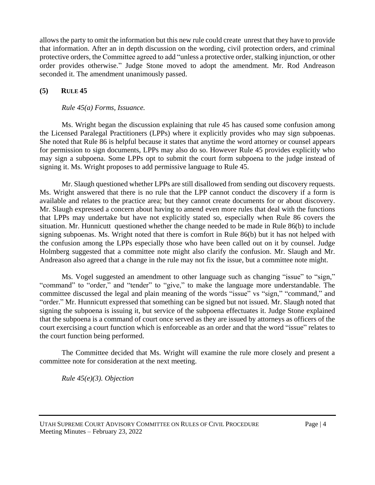allows the party to omit the information but this new rule could create unrest that they have to provide that information. After an in depth discussion on the wording, civil protection orders, and criminal protective orders, the Committee agreed to add "unless a protective order, stalking injunction, or other order provides otherwise." Judge Stone moved to adopt the amendment. Mr. Rod Andreason seconded it. The amendment unanimously passed.

# **(5) RULE 45**

### *Rule 45(a) Forms, Issuance.*

Ms. Wright began the discussion explaining that rule 45 has caused some confusion among the Licensed Paralegal Practitioners (LPPs) where it explicitly provides who may sign subpoenas. She noted that Rule 86 is helpful because it states that anytime the word attorney or counsel appears for permission to sign documents, LPPs may also do so. However Rule 45 provides explicitly who may sign a subpoena. Some LPPs opt to submit the court form subpoena to the judge instead of signing it. Ms. Wright proposes to add permissive language to Rule 45.

Mr. Slaugh questioned whether LPPs are still disallowed from sending out discovery requests. Ms. Wright answered that there is no rule that the LPP cannot conduct the discovery if a form is available and relates to the practice area; but they cannot create documents for or about discovery. Mr. Slaugh expressed a concern about having to amend even more rules that deal with the functions that LPPs may undertake but have not explicitly stated so, especially when Rule 86 covers the situation. Mr. Hunnicutt questioned whether the change needed to be made in Rule 86(b) to include signing subpoenas. Ms. Wright noted that there is comfort in Rule 86(b) but it has not helped with the confusion among the LPPs especially those who have been called out on it by counsel. Judge Holmberg suggested that a committee note might also clarify the confusion. Mr. Slaugh and Mr. Andreason also agreed that a change in the rule may not fix the issue, but a committee note might.

Ms. Vogel suggested an amendment to other language such as changing "issue" to "sign," "command" to "order," and "tender" to "give," to make the language more understandable. The committee discussed the legal and plain meaning of the words "issue" vs "sign," "command," and "order." Mr. Hunnicutt expressed that something can be signed but not issued. Mr. Slaugh noted that signing the subpoena is issuing it, but service of the subpoena effectuates it. Judge Stone explained that the subpoena is a command of court once served as they are issued by attorneys as officers of the court exercising a court function which is enforceable as an order and that the word "issue" relates to the court function being performed.

The Committee decided that Ms. Wright will examine the rule more closely and present a committee note for consideration at the next meeting.

*Rule 45(e)(3). Objection*